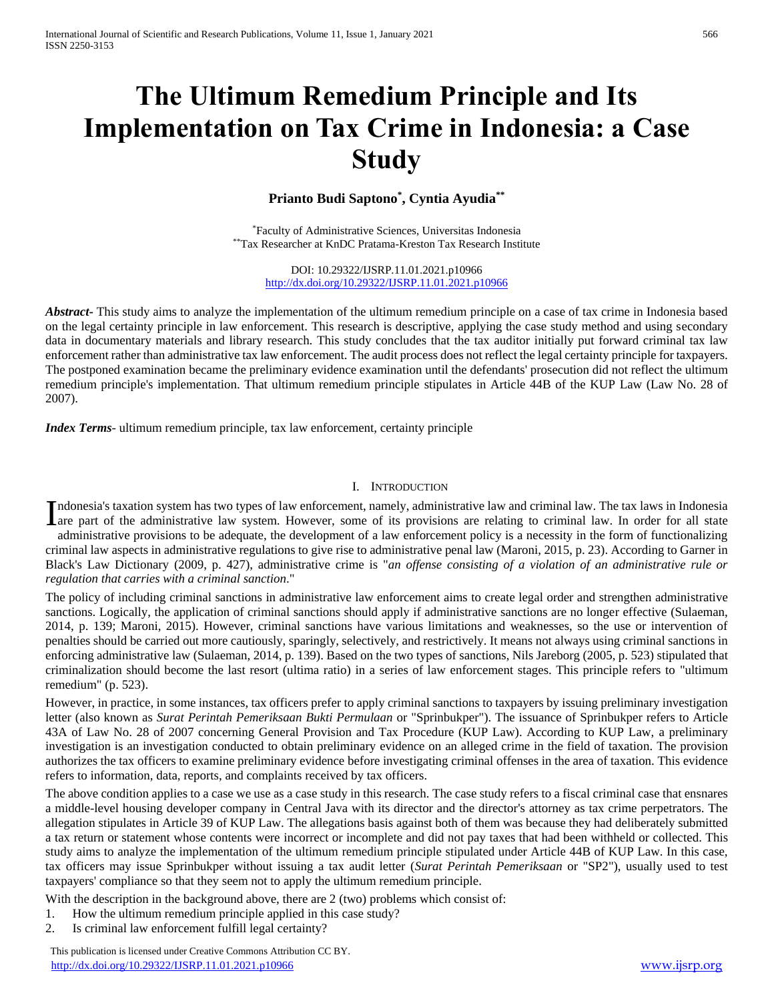# **The Ultimum Remedium Principle and Its Implementation on Tax Crime in Indonesia: a Case Study**

# **Prianto Budi Saptono\* , Cyntia Ayudia\*\***

\*Faculty of Administrative Sciences, Universitas Indonesia \*\*Tax Researcher at KnDC Pratama-Kreston Tax Research Institute

> DOI: 10.29322/IJSRP.11.01.2021.p10966 <http://dx.doi.org/10.29322/IJSRP.11.01.2021.p10966>

*Abstract***-** This study aims to analyze the implementation of the ultimum remedium principle on a case of tax crime in Indonesia based on the legal certainty principle in law enforcement. This research is descriptive, applying the case study method and using secondary data in documentary materials and library research. This study concludes that the tax auditor initially put forward criminal tax law enforcement rather than administrative tax law enforcement. The audit process does not reflect the legal certainty principle for taxpayers. The postponed examination became the preliminary evidence examination until the defendants' prosecution did not reflect the ultimum remedium principle's implementation. That ultimum remedium principle stipulates in Article 44B of the KUP Law (Law No. 28 of 2007).

*Index Terms*- ultimum remedium principle, tax law enforcement, certainty principle

#### I. INTRODUCTION

ndonesia's taxation system has two types of law enforcement, namely, administrative law and criminal law. The tax laws in Indonesia Indonesia's taxation system has two types of law enforcement, namely, administrative law and criminal law. The tax laws in Indonesia<br>I are part of the administrative law system. However, some of its provisions are relating administrative provisions to be adequate, the development of a law enforcement policy is a necessity in the form of functionalizing criminal law aspects in administrative regulations to give rise to administrative penal law (Maroni, 2015, p. 23). According to Garner in Black's Law Dictionary (2009, p. 427), administrative crime is "*an offense consisting of a violation of an administrative rule or regulation that carries with a criminal sanction*."

The policy of including criminal sanctions in administrative law enforcement aims to create legal order and strengthen administrative sanctions. Logically, the application of criminal sanctions should apply if administrative sanctions are no longer effective (Sulaeman, 2014, p. 139; Maroni, 2015). However, criminal sanctions have various limitations and weaknesses, so the use or intervention of penalties should be carried out more cautiously, sparingly, selectively, and restrictively. It means not always using criminal sanctions in enforcing administrative law (Sulaeman, 2014, p. 139). Based on the two types of sanctions, Nils Jareborg (2005, p. 523) stipulated that criminalization should become the last resort (ultima ratio) in a series of law enforcement stages. This principle refers to "ultimum remedium" (p. 523).

However, in practice, in some instances, tax officers prefer to apply criminal sanctions to taxpayers by issuing preliminary investigation letter (also known as *Surat Perintah Pemeriksaan Bukti Permulaan* or "Sprinbukper"). The issuance of Sprinbukper refers to Article 43A of Law No. 28 of 2007 concerning General Provision and Tax Procedure (KUP Law). According to KUP Law, a preliminary investigation is an investigation conducted to obtain preliminary evidence on an alleged crime in the field of taxation. The provision authorizes the tax officers to examine preliminary evidence before investigating criminal offenses in the area of taxation. This evidence refers to information, data, reports, and complaints received by tax officers.

The above condition applies to a case we use as a case study in this research. The case study refers to a fiscal criminal case that ensnares a middle-level housing developer company in Central Java with its director and the director's attorney as tax crime perpetrators. The allegation stipulates in Article 39 of KUP Law. The allegations basis against both of them was because they had deliberately submitted a tax return or statement whose contents were incorrect or incomplete and did not pay taxes that had been withheld or collected. This study aims to analyze the implementation of the ultimum remedium principle stipulated under Article 44B of KUP Law. In this case, tax officers may issue Sprinbukper without issuing a tax audit letter (*Surat Perintah Pemeriksaan* or "SP2"), usually used to test taxpayers' compliance so that they seem not to apply the ultimum remedium principle.

With the description in the background above, there are 2 (two) problems which consist of:

- 1. How the ultimum remedium principle applied in this case study?
- 2. Is criminal law enforcement fulfill legal certainty?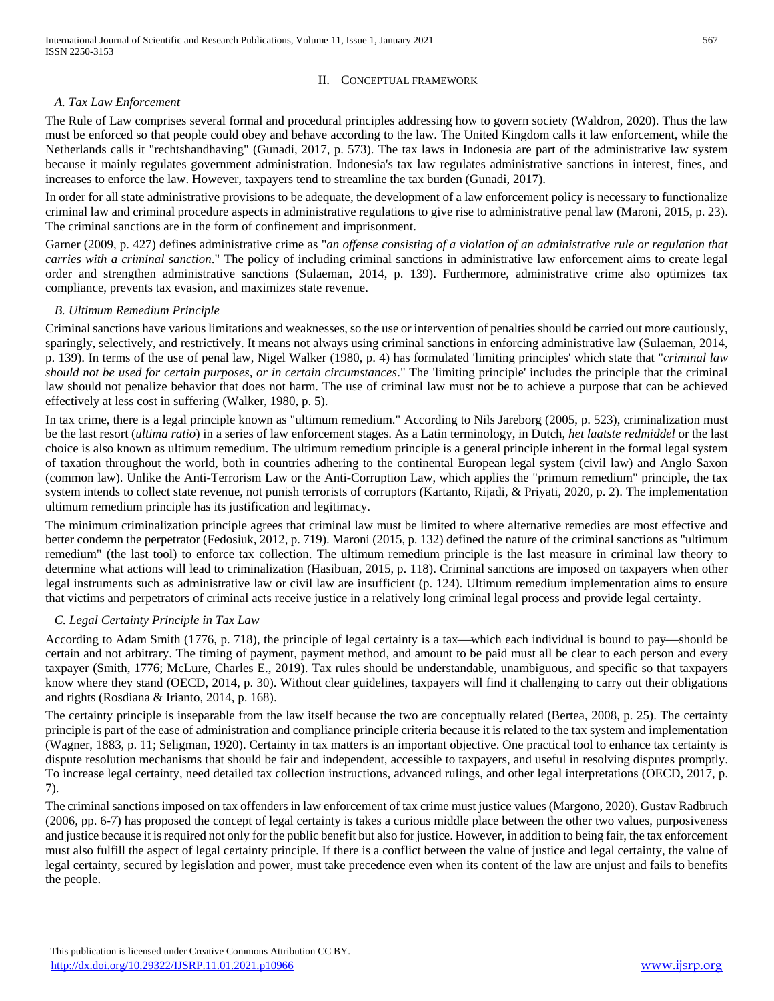## II. CONCEPTUAL FRAMEWORK

## *A. Tax Law Enforcement*

The Rule of Law comprises several formal and procedural principles addressing how to govern society (Waldron, 2020). Thus the law must be enforced so that people could obey and behave according to the law. The United Kingdom calls it law enforcement, while the Netherlands calls it "rechtshandhaving" (Gunadi, 2017, p. 573). The tax laws in Indonesia are part of the administrative law system because it mainly regulates government administration. Indonesia's tax law regulates administrative sanctions in interest, fines, and increases to enforce the law. However, taxpayers tend to streamline the tax burden (Gunadi, 2017).

In order for all state administrative provisions to be adequate, the development of a law enforcement policy is necessary to functionalize criminal law and criminal procedure aspects in administrative regulations to give rise to administrative penal law (Maroni, 2015, p. 23). The criminal sanctions are in the form of confinement and imprisonment.

Garner (2009, p. 427) defines administrative crime as "*an offense consisting of a violation of an administrative rule or regulation that carries with a criminal sanction*." The policy of including criminal sanctions in administrative law enforcement aims to create legal order and strengthen administrative sanctions (Sulaeman, 2014, p. 139). Furthermore, administrative crime also optimizes tax compliance, prevents tax evasion, and maximizes state revenue.

#### *B. Ultimum Remedium Principle*

Criminal sanctions have various limitations and weaknesses, so the use or intervention of penalties should be carried out more cautiously, sparingly, selectively, and restrictively. It means not always using criminal sanctions in enforcing administrative law (Sulaeman, 2014, p. 139). In terms of the use of penal law, Nigel Walker (1980, p. 4) has formulated 'limiting principles' which state that "*criminal law should not be used for certain purposes, or in certain circumstances*." The 'limiting principle' includes the principle that the criminal law should not penalize behavior that does not harm. The use of criminal law must not be to achieve a purpose that can be achieved effectively at less cost in suffering (Walker, 1980, p. 5).

In tax crime, there is a legal principle known as "ultimum remedium." According to Nils Jareborg (2005, p. 523), criminalization must be the last resort (*ultima ratio*) in a series of law enforcement stages. As a Latin terminology, in Dutch, *het laatste redmiddel* or the last choice is also known as ultimum remedium. The ultimum remedium principle is a general principle inherent in the formal legal system of taxation throughout the world, both in countries adhering to the continental European legal system (civil law) and Anglo Saxon (common law). Unlike the Anti-Terrorism Law or the Anti-Corruption Law, which applies the "primum remedium" principle, the tax system intends to collect state revenue, not punish terrorists of corruptors (Kartanto, Rijadi, & Priyati, 2020, p. 2). The implementation ultimum remedium principle has its justification and legitimacy.

The minimum criminalization principle agrees that criminal law must be limited to where alternative remedies are most effective and better condemn the perpetrator (Fedosiuk, 2012, p. 719). Maroni (2015, p. 132) defined the nature of the criminal sanctions as "ultimum remedium" (the last tool) to enforce tax collection. The ultimum remedium principle is the last measure in criminal law theory to determine what actions will lead to criminalization (Hasibuan, 2015, p. 118). Criminal sanctions are imposed on taxpayers when other legal instruments such as administrative law or civil law are insufficient (p. 124). Ultimum remedium implementation aims to ensure that victims and perpetrators of criminal acts receive justice in a relatively long criminal legal process and provide legal certainty.

## *C. Legal Certainty Principle in Tax Law*

According to Adam Smith (1776, p. 718), the principle of legal certainty is a tax—which each individual is bound to pay—should be certain and not arbitrary. The timing of payment, payment method, and amount to be paid must all be clear to each person and every taxpayer (Smith, 1776; McLure, Charles E., 2019). Tax rules should be understandable, unambiguous, and specific so that taxpayers know where they stand (OECD, 2014, p. 30). Without clear guidelines, taxpayers will find it challenging to carry out their obligations and rights (Rosdiana & Irianto, 2014, p. 168).

The certainty principle is inseparable from the law itself because the two are conceptually related (Bertea, 2008, p. 25). The certainty principle is part of the ease of administration and compliance principle criteria because it is related to the tax system and implementation (Wagner, 1883, p. 11; Seligman, 1920). Certainty in tax matters is an important objective. One practical tool to enhance tax certainty is dispute resolution mechanisms that should be fair and independent, accessible to taxpayers, and useful in resolving disputes promptly. To increase legal certainty, need detailed tax collection instructions, advanced rulings, and other legal interpretations (OECD, 2017, p. 7).

The criminal sanctions imposed on tax offenders in law enforcement of tax crime must justice values (Margono, 2020). Gustav Radbruch (2006, pp. 6-7) has proposed the concept of legal certainty is takes a curious middle place between the other two values, purposiveness and justice because it is required not only for the public benefit but also for justice. However, in addition to being fair, the tax enforcement must also fulfill the aspect of legal certainty principle. If there is a conflict between the value of justice and legal certainty, the value of legal certainty, secured by legislation and power, must take precedence even when its content of the law are unjust and fails to benefits the people.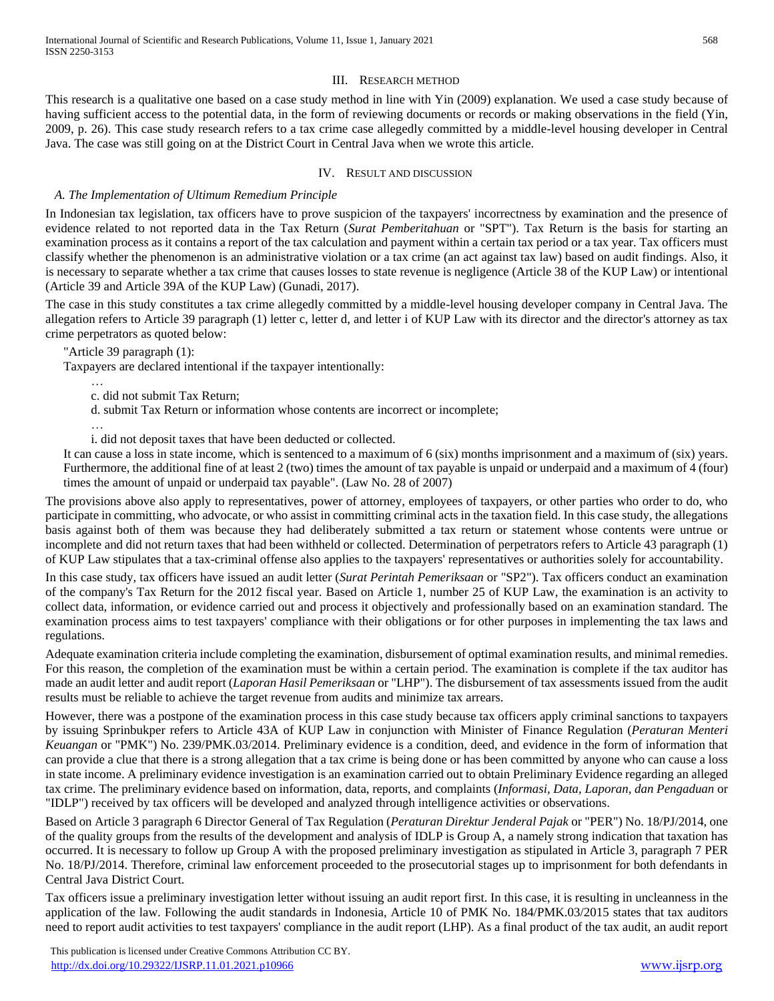#### III. RESEARCH METHOD

This research is a qualitative one based on a case study method in line with Yin (2009) explanation. We used a case study because of having sufficient access to the potential data, in the form of reviewing documents or records or making observations in the field (Yin, 2009, p. 26). This case study research refers to a tax crime case allegedly committed by a middle-level housing developer in Central Java. The case was still going on at the District Court in Central Java when we wrote this article.

#### IV. RESULT AND DISCUSSION

#### *A. The Implementation of Ultimum Remedium Principle*

In Indonesian tax legislation, tax officers have to prove suspicion of the taxpayers' incorrectness by examination and the presence of evidence related to not reported data in the Tax Return (*Surat Pemberitahuan* or "SPT"). Tax Return is the basis for starting an examination process as it contains a report of the tax calculation and payment within a certain tax period or a tax year. Tax officers must classify whether the phenomenon is an administrative violation or a tax crime (an act against tax law) based on audit findings. Also, it is necessary to separate whether a tax crime that causes losses to state revenue is negligence (Article 38 of the KUP Law) or intentional (Article 39 and Article 39A of the KUP Law) (Gunadi, 2017).

The case in this study constitutes a tax crime allegedly committed by a middle-level housing developer company in Central Java. The allegation refers to Article 39 paragraph (1) letter c, letter d, and letter i of KUP Law with its director and the director's attorney as tax crime perpetrators as quoted below:

"Article 39 paragraph (1):

Taxpayers are declared intentional if the taxpayer intentionally:

c. did not submit Tax Return;

d. submit Tax Return or information whose contents are incorrect or incomplete;

…

…

i. did not deposit taxes that have been deducted or collected.

It can cause a loss in state income, which is sentenced to a maximum of 6 (six) months imprisonment and a maximum of (six) years. Furthermore, the additional fine of at least 2 (two) times the amount of tax payable is unpaid or underpaid and a maximum of 4 (four) times the amount of unpaid or underpaid tax payable". (Law No. 28 of 2007)

The provisions above also apply to representatives, power of attorney, employees of taxpayers, or other parties who order to do, who participate in committing, who advocate, or who assist in committing criminal acts in the taxation field. In this case study, the allegations basis against both of them was because they had deliberately submitted a tax return or statement whose contents were untrue or incomplete and did not return taxes that had been withheld or collected. Determination of perpetrators refers to Article 43 paragraph (1) of KUP Law stipulates that a tax-criminal offense also applies to the taxpayers' representatives or authorities solely for accountability.

In this case study, tax officers have issued an audit letter (*Surat Perintah Pemeriksaan* or "SP2"). Tax officers conduct an examination of the company's Tax Return for the 2012 fiscal year. Based on Article 1, number 25 of KUP Law, the examination is an activity to collect data, information, or evidence carried out and process it objectively and professionally based on an examination standard. The examination process aims to test taxpayers' compliance with their obligations or for other purposes in implementing the tax laws and regulations.

Adequate examination criteria include completing the examination, disbursement of optimal examination results, and minimal remedies. For this reason, the completion of the examination must be within a certain period. The examination is complete if the tax auditor has made an audit letter and audit report (*Laporan Hasil Pemeriksaan* or "LHP"). The disbursement of tax assessments issued from the audit results must be reliable to achieve the target revenue from audits and minimize tax arrears.

However, there was a postpone of the examination process in this case study because tax officers apply criminal sanctions to taxpayers by issuing Sprinbukper refers to Article 43A of KUP Law in conjunction with Minister of Finance Regulation (*Peraturan Menteri Keuangan* or "PMK") No. 239/PMK.03/2014. Preliminary evidence is a condition, deed, and evidence in the form of information that can provide a clue that there is a strong allegation that a tax crime is being done or has been committed by anyone who can cause a loss in state income. A preliminary evidence investigation is an examination carried out to obtain Preliminary Evidence regarding an alleged tax crime. The preliminary evidence based on information, data, reports, and complaints (*Informasi, Data, Laporan, dan Pengaduan* or "IDLP") received by tax officers will be developed and analyzed through intelligence activities or observations.

Based on Article 3 paragraph 6 Director General of Tax Regulation (*Peraturan Direktur Jenderal Pajak* or "PER") No. 18/PJ/2014, one of the quality groups from the results of the development and analysis of IDLP is Group A, a namely strong indication that taxation has occurred. It is necessary to follow up Group A with the proposed preliminary investigation as stipulated in Article 3, paragraph 7 PER No. 18/PJ/2014. Therefore, criminal law enforcement proceeded to the prosecutorial stages up to imprisonment for both defendants in Central Java District Court.

Tax officers issue a preliminary investigation letter without issuing an audit report first. In this case, it is resulting in uncleanness in the application of the law. Following the audit standards in Indonesia, Article 10 of PMK No. 184/PMK.03/2015 states that tax auditors need to report audit activities to test taxpayers' compliance in the audit report (LHP). As a final product of the tax audit, an audit report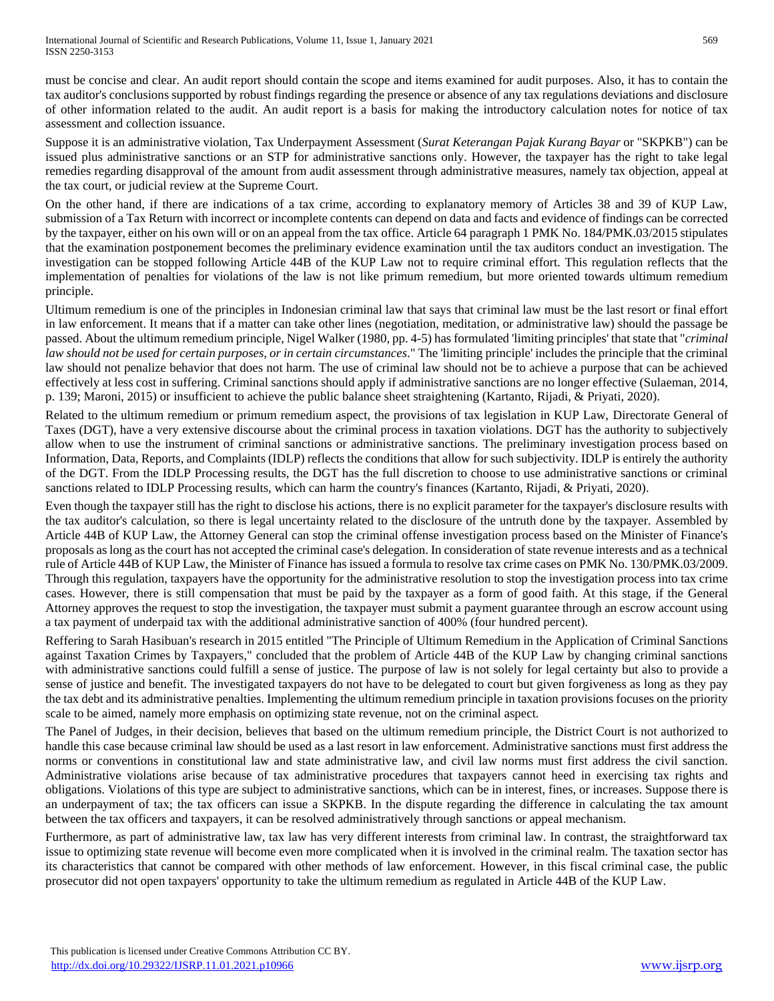must be concise and clear. An audit report should contain the scope and items examined for audit purposes. Also, it has to contain the tax auditor's conclusions supported by robust findings regarding the presence or absence of any tax regulations deviations and disclosure of other information related to the audit. An audit report is a basis for making the introductory calculation notes for notice of tax assessment and collection issuance.

Suppose it is an administrative violation, Tax Underpayment Assessment (*Surat Keterangan Pajak Kurang Bayar* or "SKPKB") can be issued plus administrative sanctions or an STP for administrative sanctions only. However, the taxpayer has the right to take legal remedies regarding disapproval of the amount from audit assessment through administrative measures, namely tax objection, appeal at the tax court, or judicial review at the Supreme Court.

On the other hand, if there are indications of a tax crime, according to explanatory memory of Articles 38 and 39 of KUP Law, submission of a Tax Return with incorrect or incomplete contents can depend on data and facts and evidence of findings can be corrected by the taxpayer, either on his own will or on an appeal from the tax office. Article 64 paragraph 1 PMK No. 184/PMK.03/2015 stipulates that the examination postponement becomes the preliminary evidence examination until the tax auditors conduct an investigation. The investigation can be stopped following Article 44B of the KUP Law not to require criminal effort. This regulation reflects that the implementation of penalties for violations of the law is not like primum remedium, but more oriented towards ultimum remedium principle.

Ultimum remedium is one of the principles in Indonesian criminal law that says that criminal law must be the last resort or final effort in law enforcement. It means that if a matter can take other lines (negotiation, meditation, or administrative law) should the passage be passed. About the ultimum remedium principle, Nigel Walker (1980, pp. 4-5) has formulated 'limiting principles' that state that "*criminal law should not be used for certain purposes, or in certain circumstances*." The 'limiting principle' includes the principle that the criminal law should not penalize behavior that does not harm. The use of criminal law should not be to achieve a purpose that can be achieved effectively at less cost in suffering. Criminal sanctions should apply if administrative sanctions are no longer effective (Sulaeman, 2014, p. 139; Maroni, 2015) or insufficient to achieve the public balance sheet straightening (Kartanto, Rijadi, & Priyati, 2020).

Related to the ultimum remedium or primum remedium aspect, the provisions of tax legislation in KUP Law, Directorate General of Taxes (DGT), have a very extensive discourse about the criminal process in taxation violations. DGT has the authority to subjectively allow when to use the instrument of criminal sanctions or administrative sanctions. The preliminary investigation process based on Information, Data, Reports, and Complaints (IDLP) reflects the conditions that allow for such subjectivity. IDLP is entirely the authority of the DGT. From the IDLP Processing results, the DGT has the full discretion to choose to use administrative sanctions or criminal sanctions related to IDLP Processing results, which can harm the country's finances (Kartanto, Rijadi, & Priyati, 2020).

Even though the taxpayer still has the right to disclose his actions, there is no explicit parameter for the taxpayer's disclosure results with the tax auditor's calculation, so there is legal uncertainty related to the disclosure of the untruth done by the taxpayer. Assembled by Article 44B of KUP Law, the Attorney General can stop the criminal offense investigation process based on the Minister of Finance's proposals as long as the court has not accepted the criminal case's delegation. In consideration of state revenue interests and as a technical rule of Article 44B of KUP Law, the Minister of Finance has issued a formula to resolve tax crime cases on PMK No. 130/PMK.03/2009. Through this regulation, taxpayers have the opportunity for the administrative resolution to stop the investigation process into tax crime cases. However, there is still compensation that must be paid by the taxpayer as a form of good faith. At this stage, if the General Attorney approves the request to stop the investigation, the taxpayer must submit a payment guarantee through an escrow account using a tax payment of underpaid tax with the additional administrative sanction of 400% (four hundred percent).

Reffering to Sarah Hasibuan's research in 2015 entitled "The Principle of Ultimum Remedium in the Application of Criminal Sanctions against Taxation Crimes by Taxpayers," concluded that the problem of Article 44B of the KUP Law by changing criminal sanctions with administrative sanctions could fulfill a sense of justice. The purpose of law is not solely for legal certainty but also to provide a sense of justice and benefit. The investigated taxpayers do not have to be delegated to court but given forgiveness as long as they pay the tax debt and its administrative penalties. Implementing the ultimum remedium principle in taxation provisions focuses on the priority scale to be aimed, namely more emphasis on optimizing state revenue, not on the criminal aspect.

The Panel of Judges, in their decision, believes that based on the ultimum remedium principle, the District Court is not authorized to handle this case because criminal law should be used as a last resort in law enforcement. Administrative sanctions must first address the norms or conventions in constitutional law and state administrative law, and civil law norms must first address the civil sanction. Administrative violations arise because of tax administrative procedures that taxpayers cannot heed in exercising tax rights and obligations. Violations of this type are subject to administrative sanctions, which can be in interest, fines, or increases. Suppose there is an underpayment of tax; the tax officers can issue a SKPKB. In the dispute regarding the difference in calculating the tax amount between the tax officers and taxpayers, it can be resolved administratively through sanctions or appeal mechanism.

Furthermore, as part of administrative law, tax law has very different interests from criminal law. In contrast, the straightforward tax issue to optimizing state revenue will become even more complicated when it is involved in the criminal realm. The taxation sector has its characteristics that cannot be compared with other methods of law enforcement. However, in this fiscal criminal case, the public prosecutor did not open taxpayers' opportunity to take the ultimum remedium as regulated in Article 44B of the KUP Law.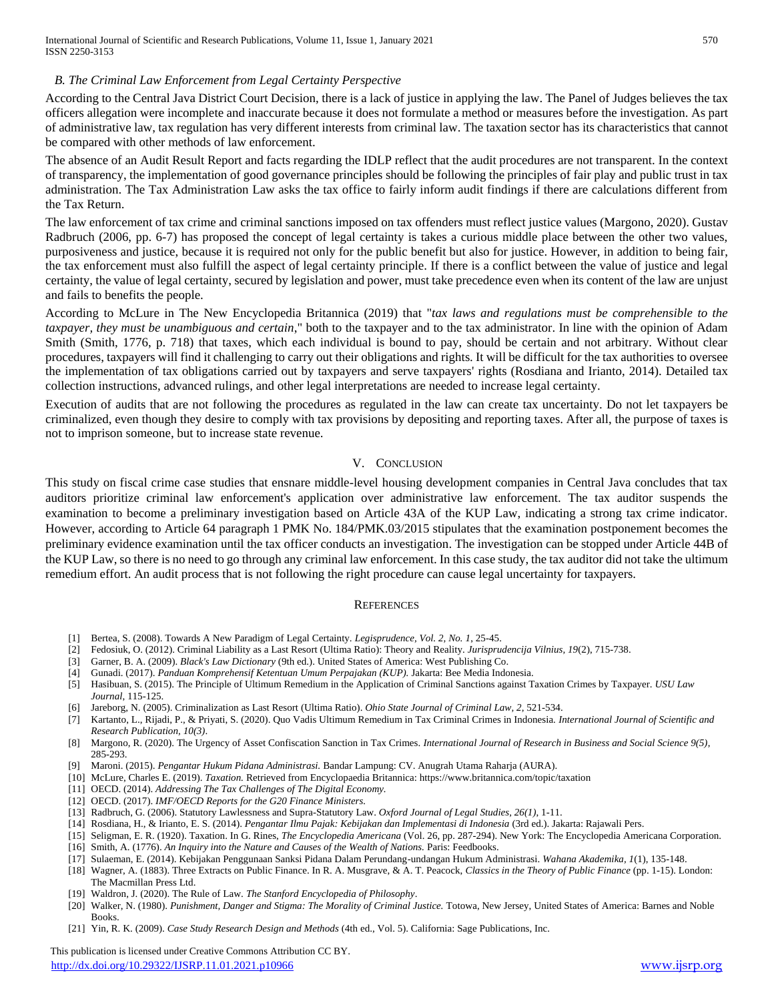# *B. The Criminal Law Enforcement from Legal Certainty Perspective*

According to the Central Java District Court Decision, there is a lack of justice in applying the law. The Panel of Judges believes the tax officers allegation were incomplete and inaccurate because it does not formulate a method or measures before the investigation. As part of administrative law, tax regulation has very different interests from criminal law. The taxation sector has its characteristics that cannot be compared with other methods of law enforcement.

The absence of an Audit Result Report and facts regarding the IDLP reflect that the audit procedures are not transparent. In the context of transparency, the implementation of good governance principles should be following the principles of fair play and public trust in tax administration. The Tax Administration Law asks the tax office to fairly inform audit findings if there are calculations different from the Tax Return.

The law enforcement of tax crime and criminal sanctions imposed on tax offenders must reflect justice values (Margono, 2020). Gustav Radbruch (2006, pp. 6-7) has proposed the concept of legal certainty is takes a curious middle place between the other two values, purposiveness and justice, because it is required not only for the public benefit but also for justice. However, in addition to being fair, the tax enforcement must also fulfill the aspect of legal certainty principle. If there is a conflict between the value of justice and legal certainty, the value of legal certainty, secured by legislation and power, must take precedence even when its content of the law are unjust and fails to benefits the people.

According to McLure in The New Encyclopedia Britannica (2019) that "*tax laws and regulations must be comprehensible to the taxpayer, they must be unambiguous and certain*," both to the taxpayer and to the tax administrator. In line with the opinion of Adam Smith (Smith, 1776, p. 718) that taxes, which each individual is bound to pay, should be certain and not arbitrary. Without clear procedures, taxpayers will find it challenging to carry out their obligations and rights. It will be difficult for the tax authorities to oversee the implementation of tax obligations carried out by taxpayers and serve taxpayers' rights (Rosdiana and Irianto, 2014). Detailed tax collection instructions, advanced rulings, and other legal interpretations are needed to increase legal certainty.

Execution of audits that are not following the procedures as regulated in the law can create tax uncertainty. Do not let taxpayers be criminalized, even though they desire to comply with tax provisions by depositing and reporting taxes. After all, the purpose of taxes is not to imprison someone, but to increase state revenue.

#### V. CONCLUSION

This study on fiscal crime case studies that ensnare middle-level housing development companies in Central Java concludes that tax auditors prioritize criminal law enforcement's application over administrative law enforcement. The tax auditor suspends the examination to become a preliminary investigation based on Article 43A of the KUP Law, indicating a strong tax crime indicator. However, according to Article 64 paragraph 1 PMK No. 184/PMK.03/2015 stipulates that the examination postponement becomes the preliminary evidence examination until the tax officer conducts an investigation. The investigation can be stopped under Article 44B of the KUP Law, so there is no need to go through any criminal law enforcement. In this case study, the tax auditor did not take the ultimum remedium effort. An audit process that is not following the right procedure can cause legal uncertainty for taxpayers.

#### **REFERENCES**

- [1] Bertea, S. (2008). Towards A New Paradigm of Legal Certainty. *Legisprudence, Vol. 2, No. 1*, 25-45.
- [2] Fedosiuk, O. (2012). Criminal Liability as a Last Resort (Ultima Ratio): Theory and Reality. *Jurisprudencija Vilnius, 19*(2), 715-738.
- [3] Garner, B. A. (2009). *Black's Law Dictionary* (9th ed.). United States of America: West Publishing Co.
- [4] Gunadi. (2017). *Panduan Komprehensif Ketentuan Umum Perpajakan (KUP).* Jakarta: Bee Media Indonesia.
- [5] Hasibuan, S. (2015). The Principle of Ultimum Remedium in the Application of Criminal Sanctions against Taxation Crimes by Taxpayer. *USU Law Journal*, 115-125.
- [6] Jareborg, N. (2005). Criminalization as Last Resort (Ultima Ratio). *Ohio State Journal of Criminal Law, 2*, 521-534.
- [7] Kartanto, L., Rijadi, P., & Priyati, S. (2020). Quo Vadis Ultimum Remedium in Tax Criminal Crimes in Indonesia. *International Journal of Scientific and Research Publication, 10(3)*.
- [8] Margono, R. (2020). The Urgency of Asset Confiscation Sanction in Tax Crimes. *International Journal of Research in Business and Social Science 9(5)*, 285-293.
- [9] Maroni. (2015). *Pengantar Hukum Pidana Administrasi.* Bandar Lampung: CV. Anugrah Utama Raharja (AURA).
- [10] McLure, Charles E. (2019). *Taxation.* Retrieved from Encyclopaedia Britannica: https://www.britannica.com/topic/taxation
- [11] OECD. (2014). *Addressing The Tax Challenges of The Digital Economy.*
- [12] OECD. (2017). *IMF/OECD Reports for the G20 Finance Ministers.*
- [13] Radbruch, G. (2006). Statutory Lawlessness and Supra-Statutory Law. *Oxford Journal of Legal Studies, 26(1)*, 1-11.
- [14] Rosdiana, H., & Irianto, E. S. (2014). *Pengantar Ilmu Pajak: Kebijakan dan Implementasi di Indonesia* (3rd ed.). Jakarta: Rajawali Pers.
- [15] Seligman, E. R. (1920). Taxation. In G. Rines, *The Encyclopedia Americana* (Vol. 26, pp. 287-294). New York: The Encyclopedia Americana Corporation.
- [16] Smith, A. (1776). *An Inquiry into the Nature and Causes of the Wealth of Nations.* Paris: Feedbooks.
- [17] Sulaeman, E. (2014). Kebijakan Penggunaan Sanksi Pidana Dalam Perundang-undangan Hukum Administrasi. *Wahana Akademika, 1*(1), 135-148.
- [18] Wagner, A. (1883). Three Extracts on Public Finance. In R. A. Musgrave, & A. T. Peacock, *Classics in the Theory of Public Finance* (pp. 1-15). London: The Macmillan Press Ltd.
- [19] Waldron, J. (2020). The Rule of Law. *The Stanford Encyclopedia of Philosophy*.
- [20] Walker, N. (1980). *Punishment, Danger and Stigma: The Morality of Criminal Justice.* Totowa, New Jersey, United States of America: Barnes and Noble Books.
- [21] Yin, R. K. (2009). *Case Study Research Design and Methods* (4th ed., Vol. 5). California: Sage Publications, Inc.

 This publication is licensed under Creative Commons Attribution CC BY. <http://dx.doi.org/10.29322/IJSRP.11.01.2021.p10966> [www.ijsrp.org](http://ijsrp.org/)